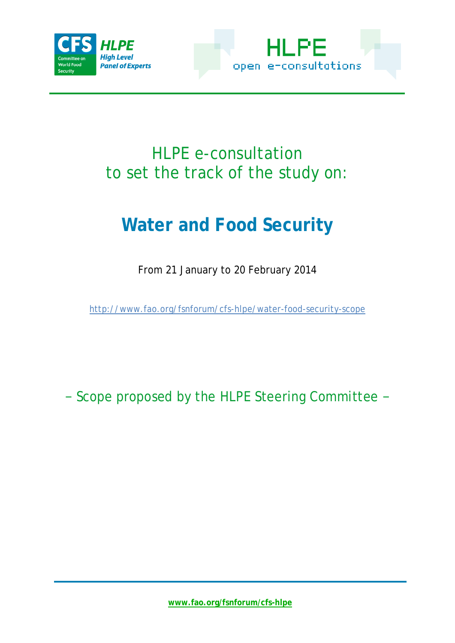



## HLPE e-consultation to set the track of the study on:

# **Water and Food Security**

From 21 January to 20 February 2014

<http://www.fao.org/fsnforum/cfs-hlpe/water-food-security-scope>

− Scope proposed by the HLPE Steering Committee −

**[www.fao.org/fsnforum/cfs-hlpe](http://www.fao.org/fsnforum/cfs-hlpe)**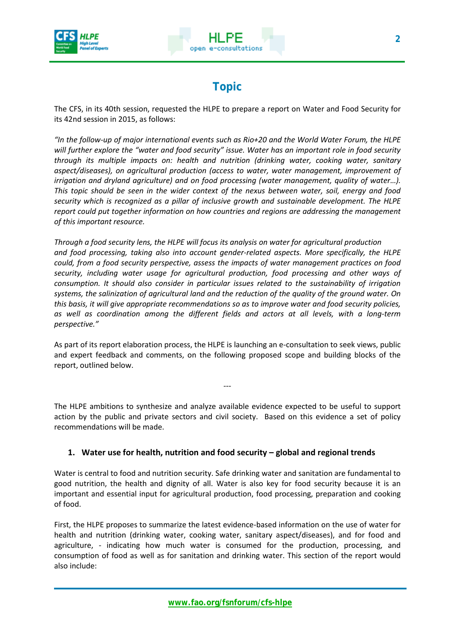



### **Topic**

The CFS, in its 40th session, requested the HLPE to prepare a report on Water and Food Security for its 42nd session in 2015, as follows:

*"In the follow-up of major international events such as Rio+20 and the World Water Forum, the HLPE will further explore the "water and food security" issue. Water has an important role in food security through its multiple impacts on: health and nutrition (drinking water, cooking water, sanitary aspect/diseases), on agricultural production (access to water, water management, improvement of irrigation and dryland agriculture) and on food processing (water management, quality of water...). This topic should be seen in the wider context of the nexus between water, soil, energy and food security which is recognized as a pillar of inclusive growth and sustainable development. The HLPE report could put together information on how countries and regions are addressing the management of this important resource.* 

*Through a food security lens, the HLPE will focus its analysis on water for agricultural production and food processing, taking also into account gender-related aspects. More specifically, the HLPE could, from a food security perspective, assess the impacts of water management practices on food security, including water usage for agricultural production, food processing and other ways of consumption. It should also consider in particular issues related to the sustainability of irrigation systems, the salinization of agricultural land and the reduction of the quality of the ground water. On this basis, it will give appropriate recommendations so as to improve water and food security policies, as well as coordination among the different fields and actors at all levels, with a long-term perspective."*

As part of its report elaboration process, the HLPE is launching an e-consultation to seek views, public and expert feedback and comments, on the following proposed scope and building blocks of the report, outlined below.

The HLPE ambitions to synthesize and analyze available evidence expected to be useful to support action by the public and private sectors and civil society. Based on this evidence a set of policy recommendations will be made.

---

#### **1. Water use for health, nutrition and food security – global and regional trends**

Water is central to food and nutrition security. Safe drinking water and sanitation are fundamental to good nutrition, the health and dignity of all. Water is also key for food security because it is an important and essential input for agricultural production, food processing, preparation and cooking of food.

First, the HLPE proposes to summarize the latest evidence-based information on the use of water for health and nutrition (drinking water, cooking water, sanitary aspect/diseases), and for food and agriculture, - indicating how much water is consumed for the production, processing, and consumption of food as well as for sanitation and drinking water. This section of the report would also include: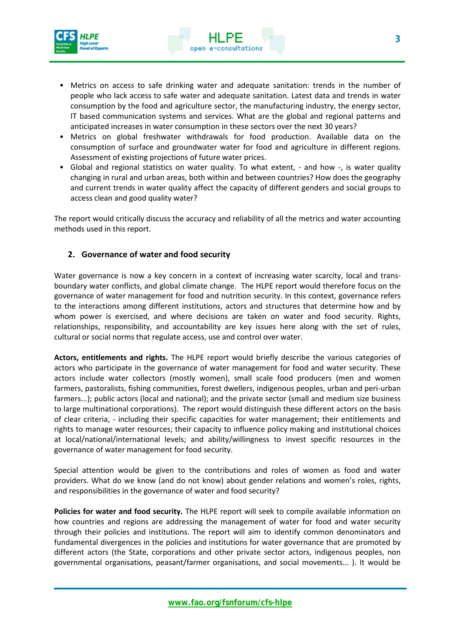

- Metrics on access to safe drinking water and adequate sanitation: trends in the number of people who lack access to safe water and adequate sanitation. Latest data and trends in water consumption by the food and agriculture sector, the manufacturing industry, the energy sector, IT based communication systems and services. What are the global and regional patterns and anticipated increases in water consumption in these sectors over the next 30 years?
- Metrics on global freshwater withdrawals for food production. Available data on the consumption of surface and groundwater water for food and agriculture in different regions. Assessment of existing projections of future water prices.
- Global and regional statistics on water quality. To what extent, and how -, is water quality changing in rural and urban areas, both within and between countries? How does the geography and current trends in water quality affect the capacity of different genders and social groups to access clean and good quality water?

The report would critically discuss the accuracy and reliability of all the metrics and water accounting methods used in this report.

#### **2. Governance of water and food security**

Water governance is now a key concern in a context of increasing water scarcity, local and transboundary water conflicts, and global climate change. The HLPE report would therefore focus on the governance of water management for food and nutrition security. In this context, governance refers to the interactions among different institutions, actors and structures that determine how and by whom power is exercised, and where decisions are taken on water and food security. Rights, relationships, responsibility, and accountability are key issues here along with the set of rules, cultural or social norms that regulate access, use and control over water.

**Actors, entitlements and rights.** The HLPE report would briefly describe the various categories of actors who participate in the governance of water management for food and water security. These actors include water collectors (mostly women), small scale food producers (men and women farmers, pastoralists, fishing communities, forest dwellers, indigenous peoples, urban and peri-urban farmers...); public actors (local and national); and the private sector (small and medium size business to large multinational corporations). The report would distinguish these different actors on the basis of clear criteria, - including their specific capacities for water management; their entitlements and rights to manage water resources; their capacity to influence policy making and institutional choices at local/national/international levels; and ability/willingness to invest specific resources in the governance of water management for food security.

Special attention would be given to the contributions and roles of women as food and water providers. What do we know (and do not know) about gender relations and women's roles, rights, and responsibilities in the governance of water and food security?

**Policies for water and food security.** The HLPE report will seek to compile available information on how countries and regions are addressing the management of water for food and water security through their policies and institutions. The report will aim to identify common denominators and fundamental divergences in the policies and institutions for water governance that are promoted by different actors (the State, corporations and other private sector actors, indigenous peoples, non governmental organisations, peasant/farmer organisations, and social movements... ). It would be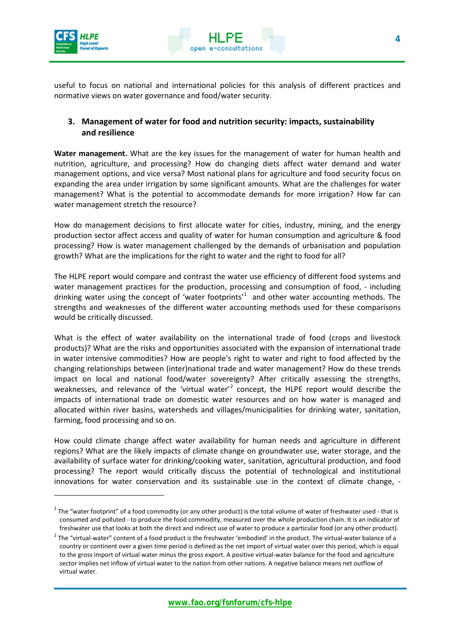

<u>.</u>



useful to focus on national and international policies for this analysis of different practices and normative views on water governance and food/water security.

#### **3. Management of water for food and nutrition security: impacts, sustainability and resilience**

**Water management.** What are the key issues for the management of water for human health and nutrition, agriculture, and processing? How do changing diets affect water demand and water management options, and vice versa? Most national plans for agriculture and food security focus on expanding the area under irrigation by some significant amounts. What are the challenges for water management? What is the potential to accommodate demands for more irrigation? How far can water management stretch the resource?

How do management decisions to first allocate water for cities, industry, mining, and the energy production sector affect access and quality of water for human consumption and agriculture & food processing? How is water management challenged by the demands of urbanisation and population growth? What are the implications for the right to water and the right to food for all?

The HLPE report would compare and contrast the water use efficiency of different food systems and water management practices for the production, processing and consumption of food, - including drinking water using the concept of 'water footprints'<sup>[1](#page-4-0)</sup> and other water accounting methods. The strengths and weaknesses of the different water accounting methods used for these comparisons would be critically discussed.

What is the effect of water availability on the international trade of food (crops and livestock products)? What are the risks and opportunities associated with the expansion of international trade in water intensive commodities? How are people's right to water and right to food affected by the changing relationships between (inter)national trade and water management? How do these trends impact on local and national food/water sovereignty? After critically assessing the strengths, weaknesses, and relevance of the 'virtual water'<sup>[2](#page-3-0)</sup> concept, the HLPE report would describe the impacts of international trade on domestic water resources and on how water is managed and allocated within river basins, watersheds and villages/municipalities for drinking water, sanitation, farming, food processing and so on.

How could climate change affect water availability for human needs and agriculture in different regions? What are the likely impacts of climate change on groundwater use, water storage, and the availability of surface water for drinking/cooking water, sanitation, agricultural production, and food processing? The report would critically discuss the potential of technological and institutional innovations for water conservation and its sustainable use in the context of climate change, -

 $1$  The "water footprint" of a food commodity (or any other product) is the total volume of water of freshwater used - that is consumed and polluted - to produce the food commodity, measured over the whole production chain. It is an indicator of freshwater use that looks at both the direct and indirect use of water to produce a particular food (or any other product).

<span id="page-3-0"></span><sup>&</sup>lt;sup>2</sup> The "virtual-water" content of a food product is the freshwater 'embodied' in the product. The virtual-water balance of a country or continent over a given time period is defined as the net import of virtual water over this period, which is equal to the gross import of virtual water minus the gross export. A positive virtual-water balance for the food and agriculture sector implies net inflow of virtual water to the nation from other nations. A negative balance means net outflow of virtual water.